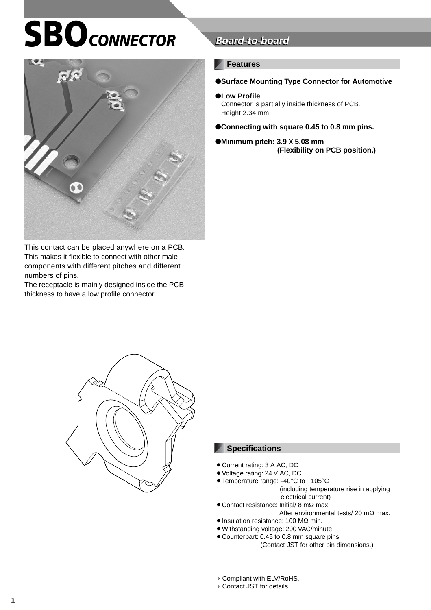# **SBO** CONNECTOR



This contact can be placed anywhere on a PCB. This makes it flexible to connect with other male components with different pitches and different numbers of pins.

The receptacle is mainly designed inside the PCB thickness to have a low profile connector.

## **Board-to-board**

#### **Features**

#### ●**Surface Mounting Type Connector for Automotive**

#### ●**Low Profile**

Connector is partially inside thickness of PCB. Height 2.34 mm.

●**Connecting with square 0.45 to 0.8 mm pins.**

#### ●**Minimum pitch: 3.9 X 5.08 mm (Flexibility on PCB position.)**



#### **Specifications**

- Current rating: 3 A AC, DC
- Voltage rating: 24 V AC, DC
- Temperature range: -40°C to +105°C (including temperature rise in applying electrical current)
- Contact resistance: Initial/ 8 mΩ max.
- After environmental tests/ 20 mΩ max. • Insulation resistance: 100 MΩ min.
- 
- ¡Withstanding voltage: 200 VAC/minute
- Counterpart: 0.45 to 0.8 mm square pins (Contact JST for other pin dimensions.)
- ∗ Compliant with ELV/RoHS.
- ∗ Contact JST for details.